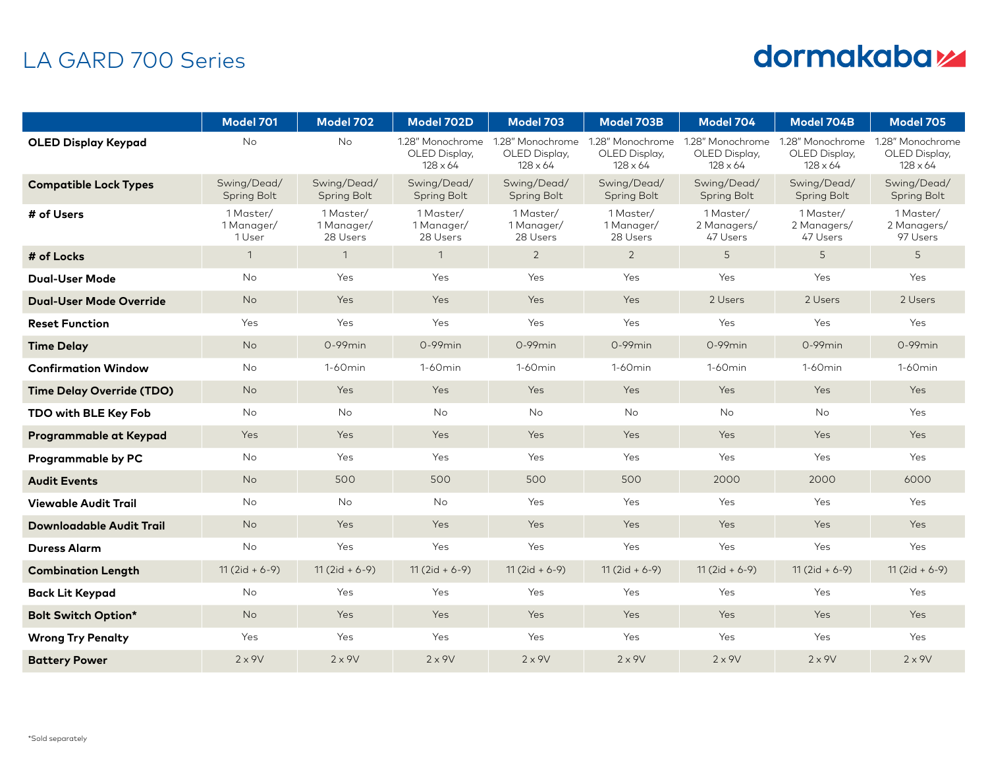## LA GARD 700 Series

## dormakabaz

|                                  | <b>Model 701</b>                  | Model 702                           | Model 702D                                           | Model 703                                            | Model 703B                                           | Model 704                                            | Model 704B                                           | <b>Model 705</b>                                     |
|----------------------------------|-----------------------------------|-------------------------------------|------------------------------------------------------|------------------------------------------------------|------------------------------------------------------|------------------------------------------------------|------------------------------------------------------|------------------------------------------------------|
| <b>OLED Display Keypad</b>       | No                                | <b>No</b>                           | 1.28" Monochrome<br>OLED Display,<br>$128 \times 64$ | 1.28" Monochrome<br>OLED Display,<br>$128 \times 64$ | 1.28" Monochrome<br>OLED Display,<br>$128 \times 64$ | 1.28" Monochrome<br>OLED Display,<br>$128 \times 64$ | 1.28" Monochrome<br>OLED Display,<br>$128 \times 64$ | 1.28" Monochrome<br>OLED Display,<br>$128 \times 64$ |
| <b>Compatible Lock Types</b>     | Swing/Dead/<br><b>Spring Bolt</b> | Swing/Dead/<br><b>Spring Bolt</b>   | Swing/Dead/<br><b>Spring Bolt</b>                    | Swing/Dead/<br><b>Spring Bolt</b>                    | Swing/Dead/<br><b>Spring Bolt</b>                    | Swing/Dead/<br><b>Spring Bolt</b>                    | Swing/Dead/<br><b>Spring Bolt</b>                    | Swing/Dead/<br><b>Spring Bolt</b>                    |
| # of Users                       | 1 Master/<br>1 Manager/<br>1 User | 1 Master/<br>1 Manager/<br>28 Users | 1 Master/<br>1 Manager/<br>28 Users                  | 1 Master/<br>1 Manager/<br>28 Users                  | 1 Master/<br>1 Manager/<br>28 Users                  | 1 Master/<br>2 Managers/<br>47 Users                 | 1 Master/<br>2 Managers/<br>47 Users                 | 1 Master/<br>2 Managers/<br>97 Users                 |
| # of Locks                       | $\mathbf{1}$                      | $\mathbf{1}$                        | $\mathbf{1}$                                         | $\overline{2}$                                       | $\overline{2}$                                       | 5                                                    | 5                                                    | 5                                                    |
| <b>Dual-User Mode</b>            | No                                | Yes                                 | Yes                                                  | Yes                                                  | Yes                                                  | Yes                                                  | Yes                                                  | Yes                                                  |
| <b>Dual-User Mode Override</b>   | No                                | Yes                                 | Yes                                                  | Yes                                                  | Yes                                                  | 2 Users                                              | 2 Users                                              | 2 Users                                              |
| <b>Reset Function</b>            | Yes                               | Yes                                 | Yes                                                  | Yes                                                  | Yes                                                  | Yes                                                  | Yes                                                  | Yes                                                  |
| <b>Time Delay</b>                | <b>No</b>                         | $0-99$ min                          | $0-99$ min                                           | $0-99$ min                                           | $0-99$ min                                           | $0-99$ min                                           | $0-99$ min                                           | $0-99$ min                                           |
| <b>Confirmation Window</b>       | <b>No</b>                         | $1-60$ min                          | $1-60$ min                                           | $1-60$ min                                           | 1-60 <sub>min</sub>                                  | 1-60 <sub>min</sub>                                  | $1-60$ min                                           | 1-60 <sub>min</sub>                                  |
| <b>Time Delay Override (TDO)</b> | No                                | Yes                                 | Yes                                                  | Yes                                                  | Yes                                                  | Yes                                                  | Yes                                                  | Yes                                                  |
| TDO with BLE Key Fob             | No                                | No                                  | No                                                   | No                                                   | No                                                   | No                                                   | No                                                   | Yes                                                  |
| Programmable at Keypad           | Yes                               | Yes                                 | Yes                                                  | Yes                                                  | Yes                                                  | Yes                                                  | Yes                                                  | Yes                                                  |
| <b>Programmable by PC</b>        | No                                | Yes                                 | Yes                                                  | Yes                                                  | Yes                                                  | Yes                                                  | Yes                                                  | Yes                                                  |
| <b>Audit Events</b>              | No                                | 500                                 | 500                                                  | 500                                                  | 500                                                  | 2000                                                 | 2000                                                 | 6000                                                 |
| <b>Viewable Audit Trail</b>      | No                                | No                                  | No                                                   | Yes                                                  | Yes                                                  | Yes                                                  | Yes                                                  | Yes                                                  |
| <b>Downloadable Audit Trail</b>  | No                                | Yes                                 | Yes                                                  | Yes                                                  | <b>Yes</b>                                           | Yes                                                  | Yes                                                  | Yes                                                  |
| <b>Duress Alarm</b>              | No                                | Yes                                 | Yes                                                  | Yes                                                  | Yes                                                  | Yes                                                  | Yes                                                  | Yes                                                  |
| <b>Combination Length</b>        | $11(2id + 6-9)$                   | $11(2id + 6-9)$                     | $11(2id + 6-9)$                                      | $11(2id + 6-9)$                                      | $11(2id + 6-9)$                                      | $11(2id + 6-9)$                                      | $11(2id + 6-9)$                                      | $11(2id + 6-9)$                                      |
| <b>Back Lit Keypad</b>           | No                                | Yes                                 | Yes                                                  | Yes                                                  | Yes                                                  | Yes                                                  | Yes                                                  | Yes                                                  |
| <b>Bolt Switch Option*</b>       | <b>No</b>                         | <b>Yes</b>                          | Yes                                                  | Yes                                                  | Yes                                                  | Yes                                                  | Yes                                                  | <b>Yes</b>                                           |
| <b>Wrong Try Penalty</b>         | Yes                               | Yes                                 | Yes                                                  | Yes                                                  | Yes                                                  | Yes                                                  | Yes                                                  | Yes                                                  |
| <b>Battery Power</b>             | $2 \times 9V$                     | $2 \times 9V$                       | $2 \times 9V$                                        | $2 \times 9V$                                        | $2 \times 9V$                                        | $2 \times 9V$                                        | $2 \times 9V$                                        | $2 \times 9V$                                        |